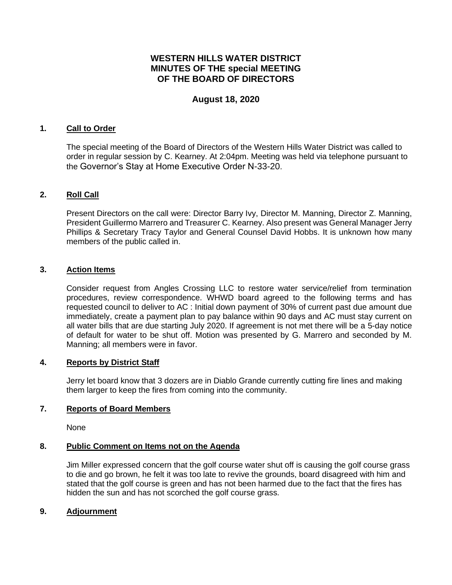# **WESTERN HILLS WATER DISTRICT MINUTES OF THE special MEETING OF THE BOARD OF DIRECTORS**

## **August 18, 2020**

## **1. Call to Order**

The special meeting of the Board of Directors of the Western Hills Water District was called to order in regular session by C. Kearney. At 2:04pm. Meeting was held via telephone pursuant to the Governor's Stay at Home Executive Order N-33-20.

## **2. Roll Call**

Present Directors on the call were: Director Barry Ivy, Director M. Manning, Director Z. Manning, President Guillermo Marrero and Treasurer C. Kearney. Also present was General Manager Jerry Phillips & Secretary Tracy Taylor and General Counsel David Hobbs. It is unknown how many members of the public called in.

## **3. Action Items**

Consider request from Angles Crossing LLC to restore water service/relief from termination procedures, review correspondence. WHWD board agreed to the following terms and has requested council to deliver to AC : Initial down payment of 30% of current past due amount due immediately, create a payment plan to pay balance within 90 days and AC must stay current on all water bills that are due starting July 2020. If agreement is not met there will be a 5-day notice of default for water to be shut off. Motion was presented by G. Marrero and seconded by M. Manning; all members were in favor.

### **4. Reports by District Staff**

Jerry let board know that 3 dozers are in Diablo Grande currently cutting fire lines and making them larger to keep the fires from coming into the community.

### **7. Reports of Board Members**

None

### **8. Public Comment on Items not on the Agenda**

Jim Miller expressed concern that the golf course water shut off is causing the golf course grass to die and go brown, he felt it was too late to revive the grounds, board disagreed with him and stated that the golf course is green and has not been harmed due to the fact that the fires has hidden the sun and has not scorched the golf course grass.

### **9. Adjournment**